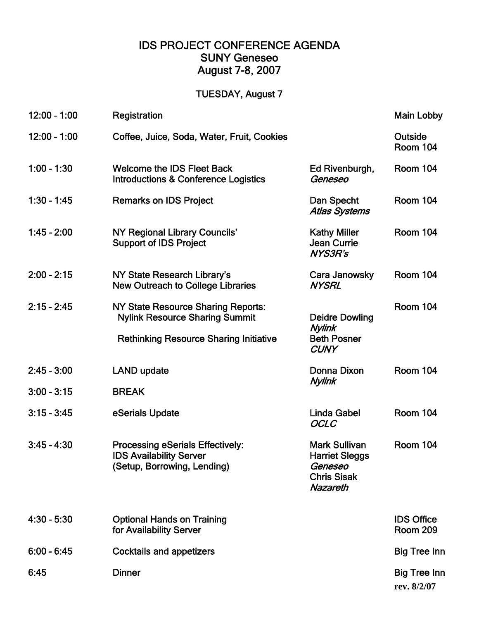## IDS PROJECT CONFERENCE AGENDA SUNY Geneseo August 7-8, 2007

## TUESDAY, August 7

| $12:00 - 1:00$ | Registration                                                                                                                 |                                                                                                   | <b>Main Lobby</b>                    |
|----------------|------------------------------------------------------------------------------------------------------------------------------|---------------------------------------------------------------------------------------------------|--------------------------------------|
| $12:00 - 1:00$ | Coffee, Juice, Soda, Water, Fruit, Cookies                                                                                   |                                                                                                   | Outside<br><b>Room 104</b>           |
| $1:00 - 1:30$  | <b>Welcome the IDS Fleet Back</b><br>Introductions & Conference Logistics                                                    | Ed Rivenburgh,<br>Geneseo                                                                         | <b>Room 104</b>                      |
| $1:30 - 1:45$  | <b>Remarks on IDS Project</b>                                                                                                | Dan Specht<br><b>Atlas Systems</b>                                                                | <b>Room 104</b>                      |
| $1.45 - 2.00$  | NY Regional Library Councils'<br><b>Support of IDS Project</b>                                                               | <b>Kathy Miller</b><br><b>Jean Currie</b><br><b>NYS3R's</b>                                       | <b>Room 104</b>                      |
| $2:00 - 2:15$  | NY State Research Library's<br><b>New Outreach to College Libraries</b>                                                      | Cara Janowsky<br><b>NYSRL</b>                                                                     | <b>Room 104</b>                      |
| $2:15 - 2:45$  | NY State Resource Sharing Reports:<br><b>Nylink Resource Sharing Summit</b><br><b>Rethinking Resource Sharing Initiative</b> | <b>Deidre Dowling</b><br>Nylink<br><b>Beth Posner</b><br><b>CUNY</b>                              | <b>Room 104</b>                      |
| $2:45 - 3:00$  | <b>LAND update</b>                                                                                                           | Donna Dixon                                                                                       | <b>Room 104</b>                      |
| $3:00 - 3:15$  | <b>BREAK</b>                                                                                                                 | Nylink                                                                                            |                                      |
| $3:15 - 3:45$  | eSerials Update                                                                                                              | <b>Linda Gabel</b><br><b>OCLC</b>                                                                 | <b>Room 104</b>                      |
| $3:45 - 4:30$  | <b>Processing eSerials Effectively:</b><br><b>IDS Availability Server</b><br>(Setup, Borrowing, Lending)                     | <b>Mark Sullivan</b><br><b>Harriet Sleggs</b><br>Geneseo<br><b>Chris Sisak</b><br><b>Nazareth</b> | <b>Room 104</b>                      |
| $4:30 - 5:30$  | <b>Optional Hands on Training</b><br>for Availability Server                                                                 |                                                                                                   | <b>IDS Office</b><br><b>Room 209</b> |
| $6:00 - 6:45$  | <b>Cocktails and appetizers</b>                                                                                              |                                                                                                   | <b>Big Tree Inn</b>                  |
| 6:45           | <b>Dinner</b>                                                                                                                |                                                                                                   | <b>Big Tree Inn</b><br>rev. 8/2/07   |